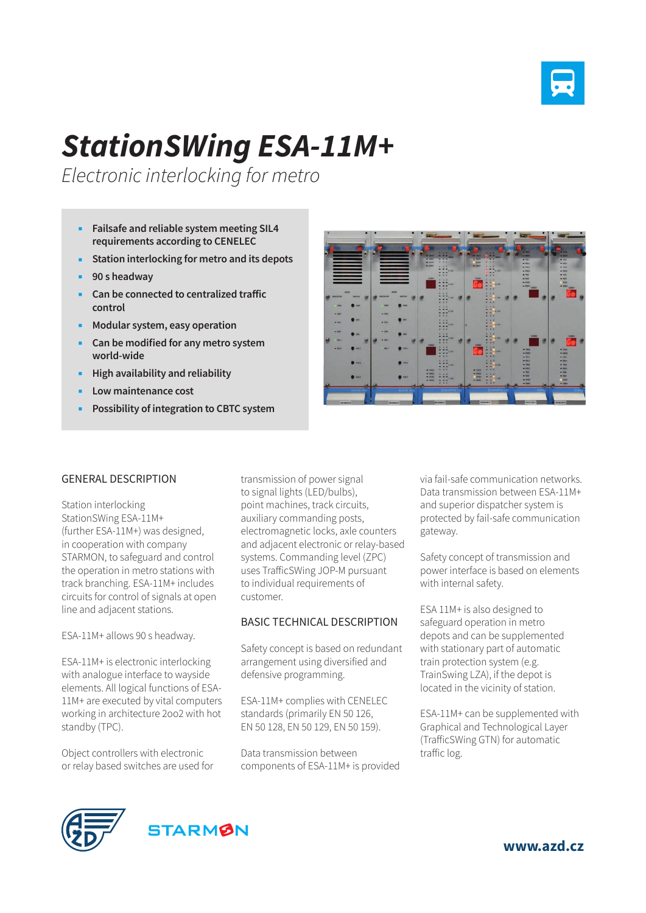

## *StationSWing ESA-11M+*

*Electronic interlocking for metro* 

- **Failsafe and reliable system meeting SIL4 requirements according to CENELEC**
- **Station interlocking for metro and its depots**
- **90 s headway**
- **Can be connected to centralized traffic control**
- **Modular system, easy operation**
- **Can be modified for any metro system world-wide**
- **High availability and reliability**
- **Low maintenance cost**
- **Possibility of integration to CBTC system**



## GENERAL DESCRIPTION

Station interlocking StationSWing ESA-11M+ (further ESA-11M+) was designed, in cooperation with company STARMON, to safeguard and control the operation in metro stations with track branching. ESA-11M+ includes circuits for control of signals at open line and adjacent stations.

ESA-11M+ allows 90 s headway.

ESA-11M+ is electronic interlocking with analogue interface to wayside elements. All logical functions of ESA-11M+ are executed by vital computers working in architecture 2oo2 with hot standby (TPC).

Object controllers with electronic or relay based switches are used for transmission of power signal to signal lights (LED/bulbs), point machines, track circuits, auxiliary commanding posts, electromagnetic locks, axle counters and adjacent electronic or relay-based systems. Commanding level (ZPC) uses TrafficSWing JOP-M pursuant to individual requirements of customer.

## BASIC TECHNICAL DESCRIPTION

Safety concept is based on redundant arrangement using diversified and defensive programming.

ESA-11M+ complies with CENELEC standards (primarily EN 50 126, EN 50 128, EN 50 129, EN 50 159).

Data transmission between components of ESA-11M+ is provided via fail-safe communication networks. Data transmission between ESA-11M+ and superior dispatcher system is protected by fail-safe communication gateway.

Safety concept of transmission and power interface is based on elements with internal safety.

ESA 11M+ is also designed to safeguard operation in metro depots and can be supplemented with stationary part of automatic train protection system (e.g. TrainSwing LZA), if the depot is located in the vicinity of station.

ESA-11M+ can be supplemented with Graphical and Technological Layer (TrafficSWing GTN) for automatic traffic log.





**www.azd.cz**